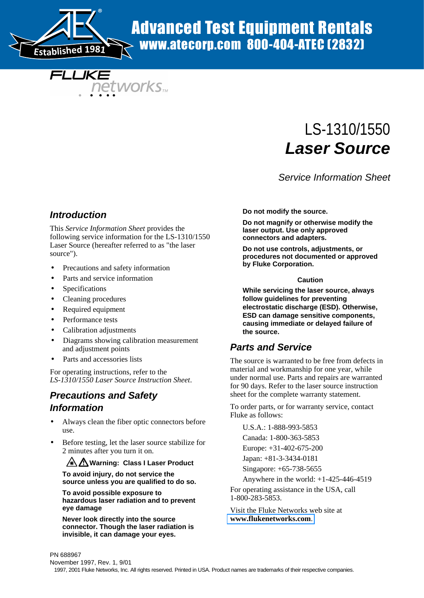

# Advanced Test Equipment Rentals www.atecorp.com 800-404-ATEC (2832)

FLLIKE **networks** w

# LS-1310/1550 **Laser Source**

Service Information Sheet

## **Introduction**

This *Service Information Sheet* provides the following service information for the LS-1310/1550 Laser Source (hereafter referred to as "the laser source").

- Precautions and safety information
- Parts and service information
- **Specifications**
- Cleaning procedures
- Required equipment
- Performance tests
- Calibration adjustments
- Diagrams showing calibration measurement and adjustment points
- Parts and accessories lists

For operating instructions, refer to the *LS-1310/1550 Laser Source Instruction Sheet*.

# **Precautions and Safety**

## **Information**

- Always clean the fiber optic connectors before use.
- Before testing, let the laser source stabilize for 2 minutes after you turn it on.

#### **A / Warning: Class I Laser Product**

**To avoid injury, do not service the source unless you are qualified to do so.**

**To avoid possible exposure to hazardous laser radiation and to prevent eye damage**

**Never look directly into the source connector. Though the laser radiation is invisible, it can damage your eyes.**

**Do not modify the source.**

**Do not magnify or otherwise modify the laser output. Use only approved connectors and adapters.**

**Do not use controls, adjustments, or procedures not documented or approved by Fluke Corporation.**

#### **Caution**

**While servicing the laser source, always follow guidelines for preventing electrostatic discharge (ESD). Otherwise, ESD can damage sensitive components, causing immediate or delayed failure of the source.**

## **Parts and Service**

The source is warranted to be free from defects in material and workmanship for one year, while under normal use. Parts and repairs are warranted for 90 days. Refer to the laser source instruction sheet for the complete warranty statement.

To order parts, or for warranty service, contact Fluke as follows:

U.S.A.: 1-888-993-5853

Canada: 1-800-363-5853

Europe: +31-402-675-200

Japan: +81-3-3434-0181

Singapore: +65-738-5655

Anywhere in the world: +1-425-446-4519

For operating assistance in the USA, call 1-800-283-5853.

Visit the Fluke Networks web site at **[www.flukenetworks.com](http://www.flukenetworks.com)**.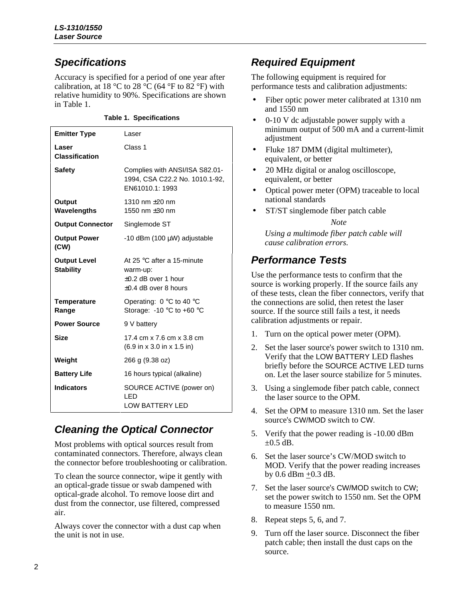# **Specifications**

Accuracy is specified for a period of one year after calibration, at 18 °C to 28 °C (64 °F to 82 °F) with relative humidity to 90%. Specifications are shown in Table 1.

| <b>Emitter Type</b>                     | Laser                                                                                           |
|-----------------------------------------|-------------------------------------------------------------------------------------------------|
| Laser<br><b>Classification</b>          | Class 1                                                                                         |
| <b>Safety</b>                           | Complies with ANSI/ISA S82.01-<br>1994, CSA C22.2 No. 1010.1-92,<br>EN61010.1: 1993             |
| Output<br>Wavelengths                   | 1310 nm $\pm 20$ nm<br>1550 nm $\pm 30$ nm                                                      |
| <b>Output Connector</b>                 | Singlemode ST                                                                                   |
| <b>Output Power</b><br>(CW)             | -10 dBm (100 μW) adjustable                                                                     |
| <b>Output Level</b><br><b>Stability</b> | At 25 °C after a 15-minute<br>warm-up:<br>$\pm 0.2$ dB over 1 hour<br>$\pm 0.4$ dB over 8 hours |
| <b>Temperature</b><br>Range             | Operating: $0^{\circ}$ C to 40 $^{\circ}$ C<br>Storage: $-10$ °C to $+60$ °C                    |
| <b>Power Source</b>                     | 9 V battery                                                                                     |
| <b>Size</b>                             | 17.4 cm x 7.6 cm x 3.8 cm<br>(6.9 in x 3.0 in x 1.5 in)                                         |
| Weight                                  | 266 g (9.38 oz)                                                                                 |
| <b>Battery Life</b>                     | 16 hours typical (alkaline)                                                                     |
| <b>Indicators</b>                       | SOURCE ACTIVE (power on)<br>LED<br><b>LOW BATTERY LED</b>                                       |

# **Cleaning the Optical Connector**

Most problems with optical sources result from contaminated connectors. Therefore, always clean the connector before troubleshooting or calibration.

To clean the source connector, wipe it gently with an optical-grade tissue or swab dampened with optical-grade alcohol. To remove loose dirt and dust from the connector, use filtered, compressed air.

Always cover the connector with a dust cap when the unit is not in use.

# **Required Equipment**

The following equipment is required for performance tests and calibration adjustments:

- Fiber optic power meter calibrated at 1310 nm and 1550 nm
- 0-10 V dc adjustable power supply with a minimum output of 500 mA and a current-limit adjustment
- Fluke 187 DMM (digital multimeter), equivalent, or better
- 20 MHz digital or analog oscilloscope, equivalent, or better
- Optical power meter (OPM) traceable to local national standards
- ST/ST singlemode fiber patch cable

*Note*

*Using a multimode fiber patch cable will cause calibration errors.*

# **Performance Tests**

Use the performance tests to confirm that the source is working properly. If the source fails any of these tests, clean the fiber connectors, verify that the connections are solid, then retest the laser source. If the source still fails a test, it needs calibration adjustments or repair.

- 1. Turn on the optical power meter (OPM).
- 2. Set the laser source's power switch to 1310 nm. Verify that the LOW BATTERY LED flashes briefly before the SOURCE ACTIVE LED turns on. Let the laser source stabilize for 5 minutes.
- 3. Using a singlemode fiber patch cable, connect the laser source to the OPM.
- 4. Set the OPM to measure 1310 nm. Set the laser source's CW/MOD switch to CW.
- 5. Verify that the power reading is -10.00 dBm  $\pm 0.5$  dB.
- 6. Set the laser source's CW/MOD switch to MOD. Verify that the power reading increases by 0.6 dBm +0.3 dB.
- 7. Set the laser source's CW/MOD switch to CW; set the power switch to 1550 nm. Set the OPM to measure 1550 nm.
- 8. Repeat steps 5, 6, and 7.
- 9. Turn off the laser source. Disconnect the fiber patch cable; then install the dust caps on the source.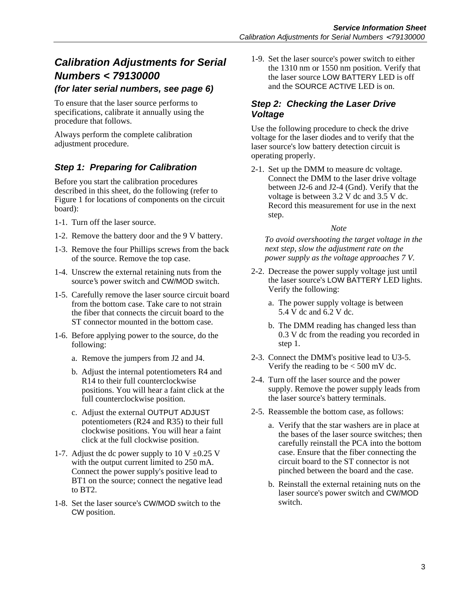# **Calibration Adjustments for Serial Numbers < 79130000**

#### **(for later serial numbers, see page 6)**

To ensure that the laser source performs to specifications, calibrate it annually using the procedure that follows.

Always perform the complete calibration adjustment procedure.

## **Step 1: Preparing for Calibration**

Before you start the calibration procedures described in this sheet, do the following (refer to Figure 1 for locations of components on the circuit board):

- 1-1. Turn off the laser source.
- 1-2. Remove the battery door and the 9 V battery.
- 1-3. Remove the four Phillips screws from the back of the source. Remove the top case.
- 1-4. Unscrew the external retaining nuts from the source's power switch and CW/MOD switch.
- 1-5. Carefully remove the laser source circuit board from the bottom case. Take care to not strain the fiber that connects the circuit board to the ST connector mounted in the bottom case.
- 1-6. Before applying power to the source, do the following:
	- a. Remove the jumpers from J2 and J4.
	- b. Adjust the internal potentiometers R4 and R14 to their full counterclockwise positions. You will hear a faint click at the full counterclockwise position.
	- c. Adjust the external OUTPUT ADJUST potentiometers (R24 and R35) to their full clockwise positions. You will hear a faint click at the full clockwise position.
- 1-7. Adjust the dc power supply to 10 V  $\pm$ 0.25 V with the output current limited to 250 mA. Connect the power supply's positive lead to BT1 on the source; connect the negative lead to BT2.
- 1-8. Set the laser source's CW/MOD switch to the CW position.

1-9. Set the laser source's power switch to either the 1310 nm or 1550 nm position. Verify that the laser source LOW BATTERY LED is off and the SOURCE ACTIVE LED is on.

### **Step 2: Checking the Laser Drive Voltage**

Use the following procedure to check the drive voltage for the laser diodes and to verify that the laser source's low battery detection circuit is operating properly.

2-1. Set up the DMM to measure dc voltage. Connect the DMM to the laser drive voltage between J2-6 and J2-4 (Gnd). Verify that the voltage is between 3.2 V dc and 3.5 V dc. Record this measurement for use in the next step.

#### *Note*

*To avoid overshooting the target voltage in the next step, slow the adjustment rate on the power supply as the voltage approaches 7 V.*

- 2-2. Decrease the power supply voltage just until the laser source's LOW BATTERY LED lights. Verify the following:
	- a. The power supply voltage is between 5.4 V dc and 6.2 V dc.
	- b. The DMM reading has changed less than 0.3 V dc from the reading you recorded in step 1.
- 2-3. Connect the DMM's positive lead to U3-5. Verify the reading to be  $\lt$  500 mV dc.
- 2-4. Turn off the laser source and the power supply. Remove the power supply leads from the laser source's battery terminals.
- 2-5. Reassemble the bottom case, as follows:
	- a. Verify that the star washers are in place at the bases of the laser source switches; then carefully reinstall the PCA into the bottom case. Ensure that the fiber connecting the circuit board to the ST connector is not pinched between the board and the case.
	- b. Reinstall the external retaining nuts on the laser source's power switch and CW/MOD switch.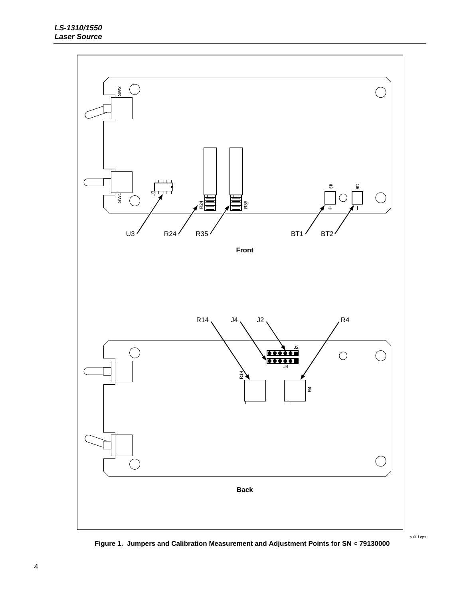

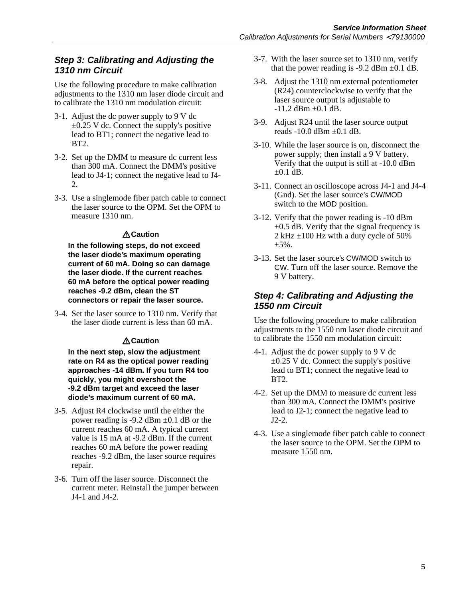## **Step 3: Calibrating and Adjusting the 1310 nm Circuit**

Use the following procedure to make calibration adjustments to the 1310 nm laser diode circuit and to calibrate the 1310 nm modulation circuit:

- 3-1. Adjust the dc power supply to 9 V dc  $\pm 0.25$  V dc. Connect the supply's positive lead to BT1; connect the negative lead to BT2.
- 3-2. Set up the DMM to measure dc current less than 300 mA. Connect the DMM's positive lead to J4-1; connect the negative lead to J4- 2.
- 3-3. Use a singlemode fiber patch cable to connect the laser source to the OPM. Set the OPM to measure 1310 nm.

#### **Caution**

**In the following steps, do not exceed the laser diode's maximum operating current of 60 mA. Doing so can damage the laser diode. If the current reaches 60 mA before the optical power reading reaches -9.2 dBm, clean the ST connectors or repair the laser source.**

3-4. Set the laser source to 1310 nm. Verify that the laser diode current is less than 60 mA.

#### **Caution**

**In the next step, slow the adjustment rate on R4 as the optical power reading approaches -14 dBm. If you turn R4 too quickly, you might overshoot the -9.2 dBm target and exceed the laser diode's maximum current of 60 mA.**

- 3-5. Adjust R4 clockwise until the either the power reading is -9.2 dBm  $\pm$ 0.1 dB or the current reaches 60 mA. A typical current value is 15 mA at -9.2 dBm. If the current reaches 60 mA before the power reading reaches -9.2 dBm, the laser source requires repair.
- 3-6. Turn off the laser source. Disconnect the current meter. Reinstall the jumper between J4-1 and J4-2.
- 3-7. With the laser source set to 1310 nm, verify that the power reading is  $-9.2$  dBm  $\pm 0.1$  dB.
- 3-8. Adjust the 1310 nm external potentiometer (R24) counterclockwise to verify that the laser source output is adjustable to  $-11.2$  dBm  $\pm 0.1$  dB.
- 3-9. Adjust R24 until the laser source output reads  $-10.0$  dBm  $\pm 0.1$  dB.
- 3-10. While the laser source is on, disconnect the power supply; then install a 9 V battery. Verify that the output is still at -10.0 dBm  $\pm 0.1$  dB.
- 3-11. Connect an oscilloscope across J4-1 and J4-4 (Gnd). Set the laser source's CW/MOD switch to the MOD position.
- 3-12. Verify that the power reading is -10 dBm  $\pm 0.5$  dB. Verify that the signal frequency is 2 kHz  $\pm 100$  Hz with a duty cycle of 50% ±5%.
- 3-13. Set the laser source's CW/MOD switch to CW. Turn off the laser source. Remove the 9 V battery.

## **Step 4: Calibrating and Adjusting the 1550 nm Circuit**

Use the following procedure to make calibration adjustments to the 1550 nm laser diode circuit and to calibrate the 1550 nm modulation circuit:

- 4-1. Adjust the dc power supply to 9 V dc  $\pm 0.25$  V dc. Connect the supply's positive lead to BT1; connect the negative lead to BT2.
- 4-2. Set up the DMM to measure dc current less than 300 mA. Connect the DMM's positive lead to J2-1; connect the negative lead to J2-2.
- 4-3. Use a singlemode fiber patch cable to connect the laser source to the OPM. Set the OPM to measure 1550 nm.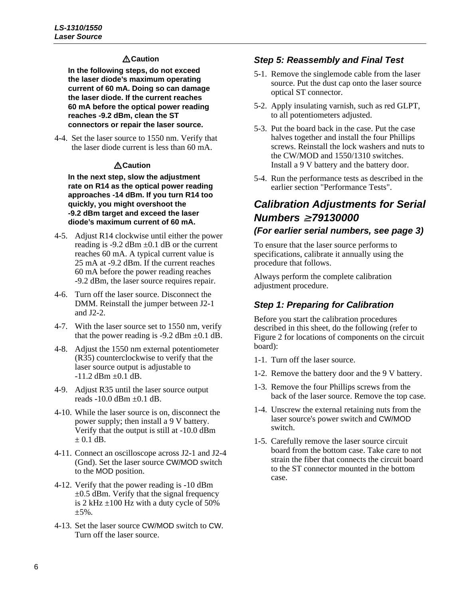### **Caution**

**In the following steps, do not exceed the laser diode's maximum operating current of 60 mA. Doing so can damage the laser diode. If the current reaches 60 mA before the optical power reading reaches -9.2 dBm, clean the ST connectors or repair the laser source.**

4-4. Set the laser source to 1550 nm. Verify that the laser diode current is less than 60 mA.

#### **Caution**

**In the next step, slow the adjustment rate on R14 as the optical power reading approaches -14 dBm. If you turn R14 too quickly, you might overshoot the -9.2 dBm target and exceed the laser diode's maximum current of 60 mA.**

- 4-5. Adjust R14 clockwise until either the power reading is  $-9.2$  dBm  $\pm 0.1$  dB or the current reaches 60 mA. A typical current value is 25 mA at -9.2 dBm. If the current reaches 60 mA before the power reading reaches -9.2 dBm, the laser source requires repair.
- 4-6. Turn off the laser source. Disconnect the DMM. Reinstall the jumper between J2-1 and J2-2.
- 4-7. With the laser source set to 1550 nm, verify that the power reading is -9.2 dBm  $\pm$ 0.1 dB.
- 4-8. Adjust the 1550 nm external potentiometer (R35) counterclockwise to verify that the laser source output is adjustable to  $-11.2$  dBm  $\pm 0.1$  dB.
- 4-9. Adjust R35 until the laser source output reads  $-10.0$  dBm  $\pm 0.1$  dB.
- 4-10. While the laser source is on, disconnect the power supply; then install a 9 V battery. Verify that the output is still at -10.0 dBm  $\pm$  0.1 dB.
- 4-11. Connect an oscilloscope across J2-1 and J2-4 (Gnd). Set the laser source CW/MOD switch to the MOD position.
- 4-12. Verify that the power reading is -10 dBm  $\pm 0.5$  dBm. Verify that the signal frequency is 2 kHz  $\pm$ 100 Hz with a duty cycle of 50%  $±5\%$ .
- 4-13. Set the laser source CW/MOD switch to CW. Turn off the laser source.

## **Step 5: Reassembly and Final Test**

- 5-1. Remove the singlemode cable from the laser source. Put the dust cap onto the laser source optical ST connector.
- 5-2. Apply insulating varnish, such as red GLPT, to all potentiometers adjusted.
- 5-3. Put the board back in the case. Put the case halves together and install the four Phillips screws. Reinstall the lock washers and nuts to the CW/MOD and 1550/1310 switches. Install a 9 V battery and the battery door.
- 5-4. Run the performance tests as described in the earlier section "Performance Tests".

## **Calibration Adjustments for Serial Numbers** <sup>≥</sup> **79130000 (For earlier serial numbers, see page 3)**

To ensure that the laser source performs to specifications, calibrate it annually using the procedure that follows.

Always perform the complete calibration adjustment procedure.

## **Step 1: Preparing for Calibration**

Before you start the calibration procedures described in this sheet, do the following (refer to Figure 2 for locations of components on the circuit board):

- 1-1. Turn off the laser source.
- 1-2. Remove the battery door and the 9 V battery.
- 1-3. Remove the four Phillips screws from the back of the laser source. Remove the top case.
- 1-4. Unscrew the external retaining nuts from the laser source's power switch and CW/MOD switch.
- 1-5. Carefully remove the laser source circuit board from the bottom case. Take care to not strain the fiber that connects the circuit board to the ST connector mounted in the bottom case.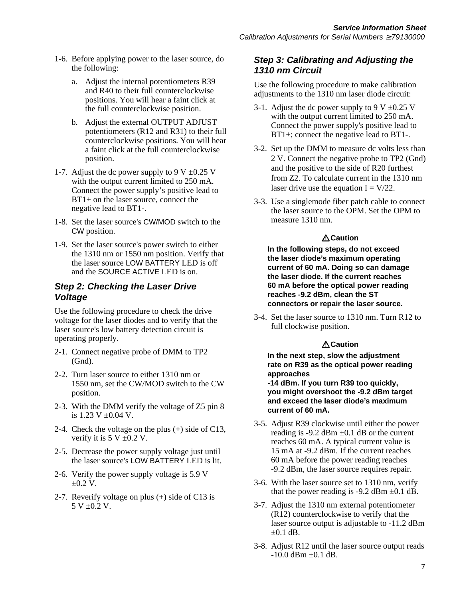- 1-6. Before applying power to the laser source, do the following:
	- a. Adjust the internal potentiometers R39 and R40 to their full counterclockwise positions. You will hear a faint click at the full counterclockwise position.
	- b. Adjust the external OUTPUT ADJUST potentiometers (R12 and R31) to their full counterclockwise positions. You will hear a faint click at the full counterclockwise position.
- 1-7. Adjust the dc power supply to 9 V  $\pm$ 0.25 V with the output current limited to 250 mA. Connect the power supply's positive lead to BT1+ on the laser source, connect the negative lead to BT1-.
- 1-8. Set the laser source's CW/MOD switch to the CW position.
- 1-9. Set the laser source's power switch to either the 1310 nm or 1550 nm position. Verify that the laser source LOW BATTERY LED is off and the SOURCE ACTIVE LED is on.

### **Step 2: Checking the Laser Drive Voltage**

Use the following procedure to check the drive voltage for the laser diodes and to verify that the laser source's low battery detection circuit is operating properly.

- 2-1. Connect negative probe of DMM to TP2 (Gnd).
- 2-2. Turn laser source to either 1310 nm or 1550 nm, set the CW/MOD switch to the CW position.
- 2-3. With the DMM verify the voltage of Z5 pin 8 is  $1.23$  V  $\pm 0.04$  V.
- 2-4. Check the voltage on the plus (+) side of C13, verify it is  $5 V \pm 0.2 V$ .
- 2-5. Decrease the power supply voltage just until the laser source's LOW BATTERY LED is lit.
- 2-6. Verify the power supply voltage is 5.9 V  $\pm 0.2$  V.
- 2-7. Reverify voltage on plus (+) side of C13 is  $5 V \pm 0.2 V$ .

## **Step 3: Calibrating and Adjusting the 1310 nm Circuit**

Use the following procedure to make calibration adjustments to the 1310 nm laser diode circuit:

- 3-1. Adjust the dc power supply to 9 V  $\pm$ 0.25 V with the output current limited to 250 mA. Connect the power supply's positive lead to BT1+; connect the negative lead to BT1-.
- 3-2. Set up the DMM to measure dc volts less than 2 V. Connect the negative probe to TP2 (Gnd) and the positive to the side of R20 furthest from Z2. To calculate current in the 1310 nm laser drive use the equation  $I = V/22$ .
- 3-3. Use a singlemode fiber patch cable to connect the laser source to the OPM. Set the OPM to measure 1310 nm.

#### **Caution**

**In the following steps, do not exceed the laser diode's maximum operating current of 60 mA. Doing so can damage the laser diode. If the current reaches 60 mA before the optical power reading reaches -9.2 dBm, clean the ST connectors or repair the laser source.**

3-4. Set the laser source to 1310 nm. Turn R12 to full clockwise position.

#### **Caution**

**In the next step, slow the adjustment rate on R39 as the optical power reading approaches**

**-14 dBm. If you turn R39 too quickly, you might overshoot the -9.2 dBm target and exceed the laser diode's maximum current of 60 mA.**

- 3-5. Adjust R39 clockwise until either the power reading is  $-9.2$  dBm  $\pm 0.1$  dB or the current reaches 60 mA. A typical current value is 15 mA at -9.2 dBm. If the current reaches 60 mA before the power reading reaches -9.2 dBm, the laser source requires repair.
- 3-6. With the laser source set to 1310 nm, verify that the power reading is  $-9.2$  dBm  $\pm 0.1$  dB.
- 3-7. Adjust the 1310 nm external potentiometer (R12) counterclockwise to verify that the laser source output is adjustable to -11.2 dBm  $\pm 0.1$  dB.
- 3-8. Adjust R12 until the laser source output reads  $-10.0$  dBm  $+0.1$  dB.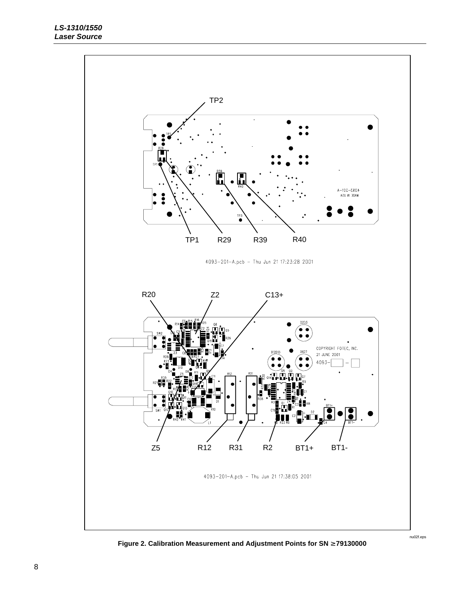

**Figure 2. Calibration Measurement and Adjustment Points for SN** ≥ **79130000**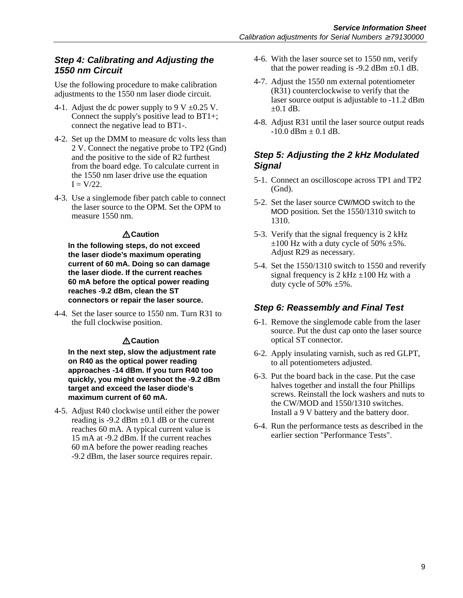#### **Step 4: Calibrating and Adjusting the 1550 nm Circuit**

Use the following procedure to make calibration adjustments to the 1550 nm laser diode circuit.

- 4-1. Adjust the dc power supply to 9 V  $\pm$ 0.25 V. Connect the supply's positive lead to BT1+; connect the negative lead to BT1-.
- 4-2. Set up the DMM to measure dc volts less than 2 V. Connect the negative probe to TP2 (Gnd) and the positive to the side of R2 furthest from the board edge. To calculate current in the 1550 nm laser drive use the equation  $I = V/22$ .
- 4-3. Use a singlemode fiber patch cable to connect the laser source to the OPM. Set the OPM to measure 1550 nm.

#### **Caution**

**In the following steps, do not exceed the laser diode's maximum operating current of 60 mA. Doing so can damage the laser diode. If the current reaches 60 mA before the optical power reading reaches -9.2 dBm, clean the ST connectors or repair the laser source.**

4-4. Set the laser source to 1550 nm. Turn R31 to the full clockwise position.

#### **Caution**

**In the next step, slow the adjustment rate on R40 as the optical power reading approaches -14 dBm. If you turn R40 too quickly, you might overshoot the -9.2 dBm target and exceed the laser diode's maximum current of 60 mA.**

4-5. Adjust R40 clockwise until either the power reading is -9.2 dBm  $\pm$ 0.1 dB or the current reaches 60 mA. A typical current value is 15 mA at -9.2 dBm. If the current reaches 60 mA before the power reading reaches -9.2 dBm, the laser source requires repair.

- 4-6. With the laser source set to 1550 nm, verify that the power reading is  $-9.2$  dBm  $\pm 0.1$  dB.
- 4-7. Adjust the 1550 nm external potentiometer (R31) counterclockwise to verify that the laser source output is adjustable to -11.2 dBm  $\pm 0.1$  dB.
- 4-8. Adjust R31 until the laser source output reads  $-10.0$  dBm  $\pm$  0.1 dB.

## **Step 5: Adjusting the 2 kHz Modulated Signal**

- 5-1. Connect an oscilloscope across TP1 and TP2 (Gnd).
- 5-2. Set the laser source CW/MOD switch to the MOD position. Set the 1550/1310 switch to 1310.
- 5-3. Verify that the signal frequency is 2 kHz  $\pm 100$  Hz with a duty cycle of 50%  $\pm 5\%$ . Adjust R29 as necessary.
- 5-4. Set the 1550/1310 switch to 1550 and reverify signal frequency is  $2 \text{ kHz} \pm 100 \text{ Hz}$  with a duty cycle of  $50\% \pm 5\%$ .

## **Step 6: Reassembly and Final Test**

- 6-1. Remove the singlemode cable from the laser source. Put the dust cap onto the laser source optical ST connector.
- 6-2. Apply insulating varnish, such as red GLPT, to all potentiometers adjusted.
- 6-3. Put the board back in the case. Put the case halves together and install the four Phillips screws. Reinstall the lock washers and nuts to the CW/MOD and 1550/1310 switches. Install a 9 V battery and the battery door.
- 6-4. Run the performance tests as described in the earlier section "Performance Tests".